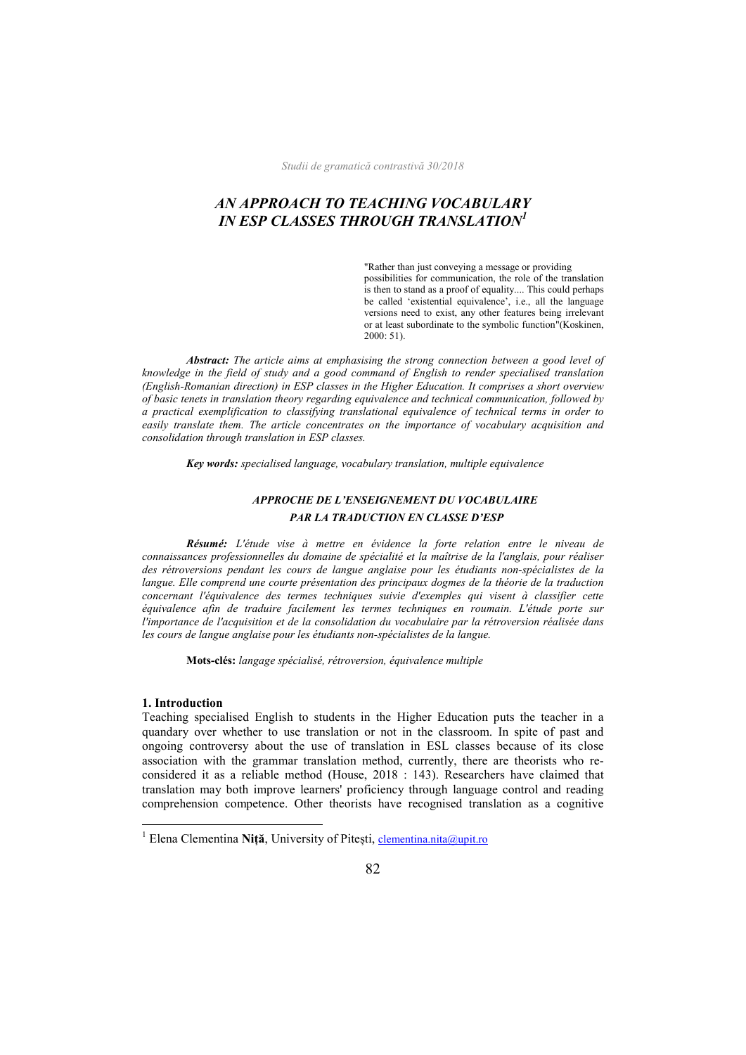# *AN APPROACH TO TEACHING VOCABULARY IN ESP CLASSES THROUGH TRANSLATION<sup>1</sup>*

 "Rather than just conveying a message or providing possibilities for communication, the role of the translation is then to stand as a proof of equality.... This could perhaps be called 'existential equivalence', i.e., all the language versions need to exist, any other features being irrelevant or at least subordinate to the symbolic function"(Koskinen, 2000: 51).

 *Abstract: The article aims at emphasising the strong connection between a good level of knowledge in the field of study and a good command of English to render specialised translation (English-Romanian direction) in ESP classes in the Higher Education. It comprises a short overview of basic tenets in translation theory regarding equivalence and technical communication, followed by a practical exemplification to classifying translational equivalence of technical terms in order to easily translate them. The article concentrates on the importance of vocabulary acquisition and consolidation through translation in ESP classes.* 

 *Key words: specialised language, vocabulary translation, multiple equivalence* 

## *APPROCHE DE L'ENSEIGNEMENT DU VOCABULAIRE PAR LA TRADUCTION EN CLASSE D'ESP*

 *Résumé: L'étude vise à mettre en évidence la forte relation entre le niveau de connaissances professionnelles du domaine de spécialité et la maîtrise de la l'anglais, pour réaliser des rétroversions pendant les cours de langue anglaise pour les étudiants non-spécialistes de la langue. Elle comprend une courte présentation des principaux dogmes de la théorie de la traduction concernant l'équivalence des termes techniques suivie d'exemples qui visent à classifier cette équivalence afin de traduire facilement les termes techniques en roumain. L'étude porte sur l'importance de l'acquisition et de la consolidation du vocabulaire par la rétroversion réalisée dans les cours de langue anglaise pour les étudiants non-spécialistes de la langue.*

 **Mots-clés:** *langage spécialisé, rétroversion, équivalence multiple*

#### **1. Introduction**

 $\overline{a}$ 

Teaching specialised English to students in the Higher Education puts the teacher in a quandary over whether to use translation or not in the classroom. In spite of past and ongoing controversy about the use of translation in ESL classes because of its close association with the grammar translation method, currently, there are theorists who reconsidered it as a reliable method (House, 2018 : 143). Researchers have claimed that translation may both improve learners' proficiency through language control and reading comprehension competence. Other theorists have recognised translation as a cognitive

<sup>&</sup>lt;sup>1</sup> Elena Clementina Niță, University of Pitești, clementina.nita@upit.ro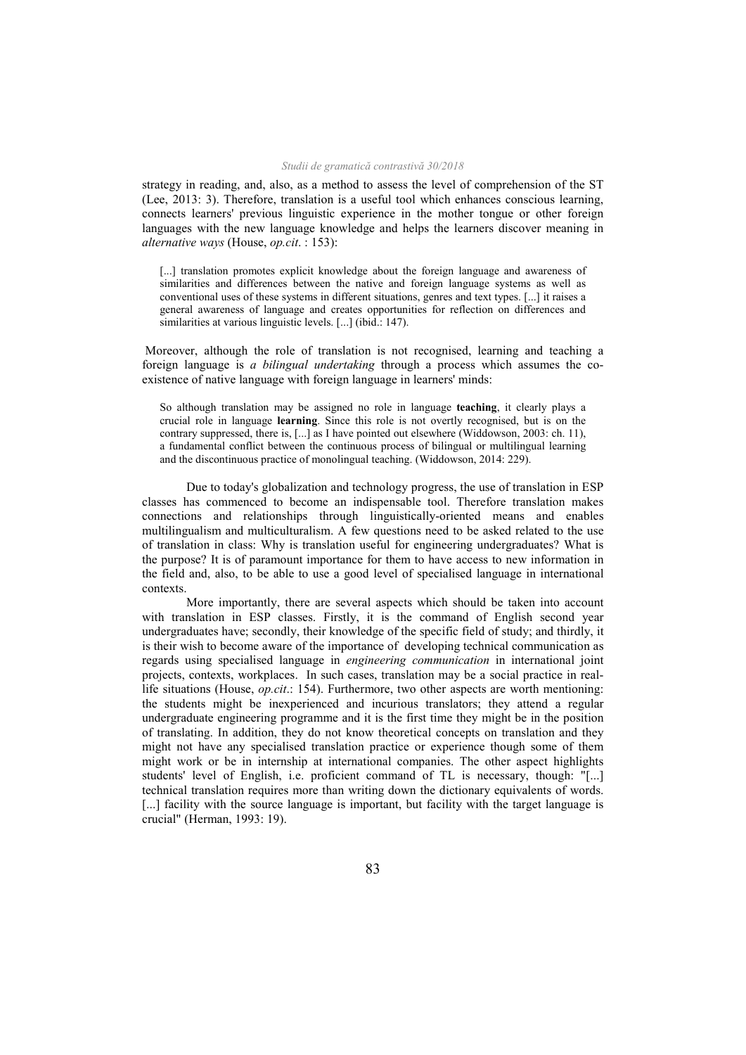strategy in reading, and, also, as a method to assess the level of comprehension of the ST (Lee, 2013: 3). Therefore, translation is a useful tool which enhances conscious learning, connects learners' previous linguistic experience in the mother tongue or other foreign languages with the new language knowledge and helps the learners discover meaning in *alternative ways* (House, *op.cit*. : 153):

[...] translation promotes explicit knowledge about the foreign language and awareness of similarities and differences between the native and foreign language systems as well as conventional uses of these systems in different situations, genres and text types. [...] it raises a general awareness of language and creates opportunities for reflection on differences and similarities at various linguistic levels. [...] (ibid.: 147).

 Moreover, although the role of translation is not recognised, learning and teaching a foreign language is *a bilingual undertaking* through a process which assumes the coexistence of native language with foreign language in learners' minds:

So although translation may be assigned no role in language **teaching**, it clearly plays a crucial role in language **learning**. Since this role is not overtly recognised, but is on the contrary suppressed, there is, [...] as I have pointed out elsewhere (Widdowson, 2003: ch. 11), a fundamental conflict between the continuous process of bilingual or multilingual learning and the discontinuous practice of monolingual teaching. (Widdowson, 2014: 229).

 Due to today's globalization and technology progress, the use of translation in ESP classes has commenced to become an indispensable tool. Therefore translation makes connections and relationships through linguistically-oriented means and enables multilingualism and multiculturalism. A few questions need to be asked related to the use of translation in class: Why is translation useful for engineering undergraduates? What is the purpose? It is of paramount importance for them to have access to new information in the field and, also, to be able to use a good level of specialised language in international contexts.

 More importantly, there are several aspects which should be taken into account with translation in ESP classes. Firstly, it is the command of English second year undergraduates have; secondly, their knowledge of the specific field of study; and thirdly, it is their wish to become aware of the importance of developing technical communication as regards using specialised language in *engineering communication* in international joint projects, contexts, workplaces. In such cases, translation may be a social practice in reallife situations (House, *op.cit*.: 154). Furthermore, two other aspects are worth mentioning: the students might be inexperienced and incurious translators; they attend a regular undergraduate engineering programme and it is the first time they might be in the position of translating. In addition, they do not know theoretical concepts on translation and they might not have any specialised translation practice or experience though some of them might work or be in internship at international companies. The other aspect highlights students' level of English, i.e. proficient command of TL is necessary, though: "[...] technical translation requires more than writing down the dictionary equivalents of words. [...] facility with the source language is important, but facility with the target language is crucial" (Herman, 1993: 19).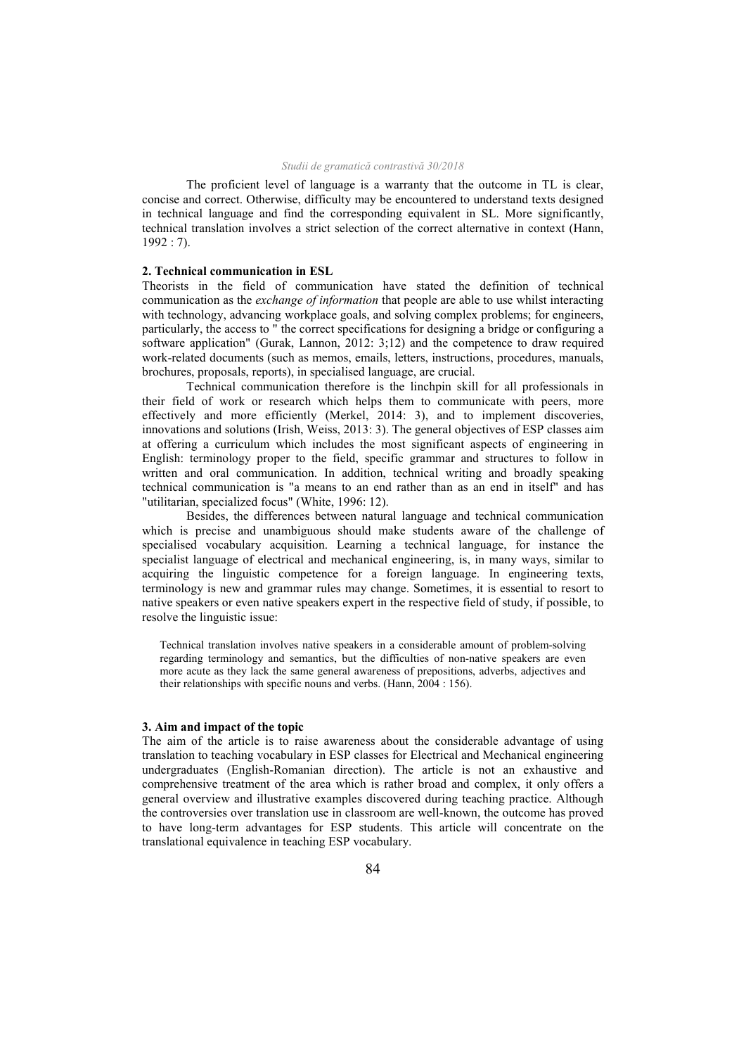The proficient level of language is a warranty that the outcome in TL is clear, concise and correct. Otherwise, difficulty may be encountered to understand texts designed in technical language and find the corresponding equivalent in SL. More significantly, technical translation involves a strict selection of the correct alternative in context (Hann, 1992 : 7).

## **2. Technical communication in ESL**

Theorists in the field of communication have stated the definition of technical communication as the *exchange of information* that people are able to use whilst interacting with technology, advancing workplace goals, and solving complex problems; for engineers, particularly, the access to " the correct specifications for designing a bridge or configuring a software application" (Gurak, Lannon, 2012: 3;12) and the competence to draw required work-related documents (such as memos, emails, letters, instructions, procedures, manuals, brochures, proposals, reports), in specialised language, are crucial.

 Technical communication therefore is the linchpin skill for all professionals in their field of work or research which helps them to communicate with peers, more effectively and more efficiently (Merkel, 2014: 3), and to implement discoveries, innovations and solutions (Irish, Weiss, 2013: 3). The general objectives of ESP classes aim at offering a curriculum which includes the most significant aspects of engineering in English: terminology proper to the field, specific grammar and structures to follow in written and oral communication. In addition, technical writing and broadly speaking technical communication is "a means to an end rather than as an end in itself" and has "utilitarian, specialized focus" (White, 1996: 12).

 Besides, the differences between natural language and technical communication which is precise and unambiguous should make students aware of the challenge of specialised vocabulary acquisition. Learning a technical language, for instance the specialist language of electrical and mechanical engineering, is, in many ways, similar to acquiring the linguistic competence for a foreign language. In engineering texts, terminology is new and grammar rules may change. Sometimes, it is essential to resort to native speakers or even native speakers expert in the respective field of study, if possible, to resolve the linguistic issue:

Technical translation involves native speakers in a considerable amount of problem-solving regarding terminology and semantics, but the difficulties of non-native speakers are even more acute as they lack the same general awareness of prepositions, adverbs, adjectives and their relationships with specific nouns and verbs. (Hann, 2004 : 156).

### **3. Aim and impact of the topic**

The aim of the article is to raise awareness about the considerable advantage of using translation to teaching vocabulary in ESP classes for Electrical and Mechanical engineering undergraduates (English-Romanian direction). The article is not an exhaustive and comprehensive treatment of the area which is rather broad and complex, it only offers a general overview and illustrative examples discovered during teaching practice. Although the controversies over translation use in classroom are well-known, the outcome has proved to have long-term advantages for ESP students. This article will concentrate on the translational equivalence in teaching ESP vocabulary.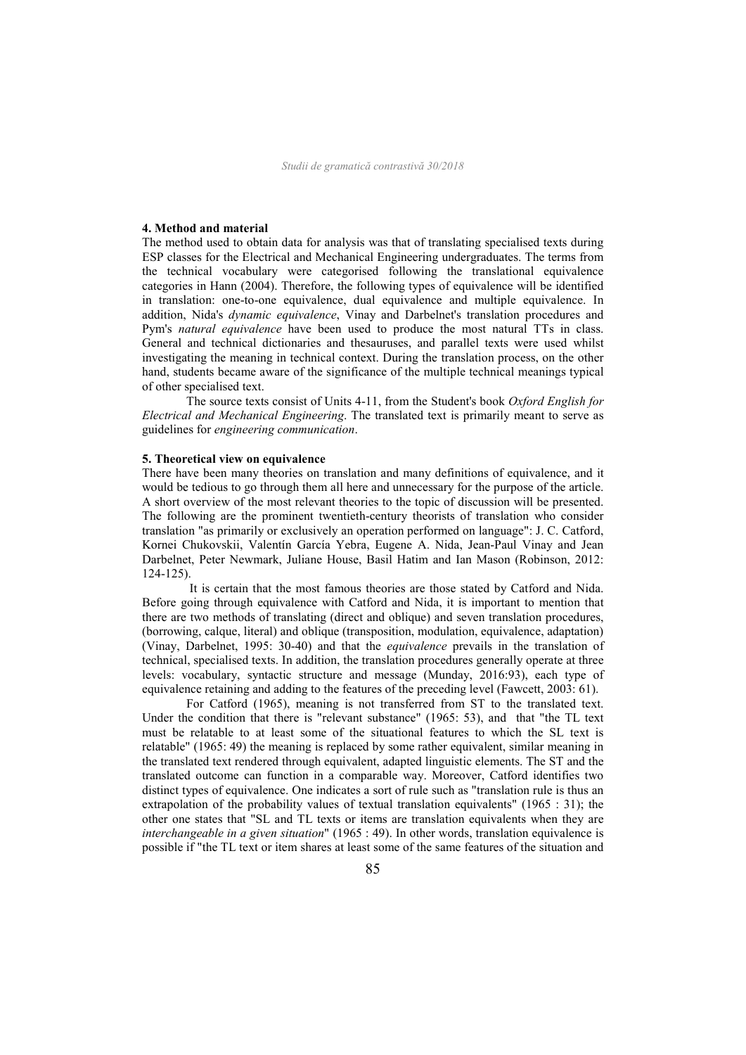## **4. Method and material**

The method used to obtain data for analysis was that of translating specialised texts during ESP classes for the Electrical and Mechanical Engineering undergraduates. The terms from the technical vocabulary were categorised following the translational equivalence categories in Hann (2004). Therefore, the following types of equivalence will be identified in translation: one-to-one equivalence, dual equivalence and multiple equivalence. In addition, Nida's *dynamic equivalence*, Vinay and Darbelnet's translation procedures and Pym's *natural equivalence* have been used to produce the most natural TTs in class. General and technical dictionaries and thesauruses, and parallel texts were used whilst investigating the meaning in technical context. During the translation process, on the other hand, students became aware of the significance of the multiple technical meanings typical of other specialised text.

The source texts consist of Units 4-11, from the Student's book *Oxford English for Electrical and Mechanical Engineering*. The translated text is primarily meant to serve as guidelines for *engineering communication*.

#### **5. Theoretical view on equivalence**

There have been many theories on translation and many definitions of equivalence, and it would be tedious to go through them all here and unnecessary for the purpose of the article. A short overview of the most relevant theories to the topic of discussion will be presented. The following are the prominent twentieth-century theorists of translation who consider translation "as primarily or exclusively an operation performed on language": J. C. Catford, Kornei Chukovskii, Valentín García Yebra, Eugene A. Nida, Jean-Paul Vinay and Jean Darbelnet, Peter Newmark, Juliane House, Basil Hatim and Ian Mason (Robinson, 2012: 124-125).

 It is certain that the most famous theories are those stated by Catford and Nida. Before going through equivalence with Catford and Nida, it is important to mention that there are two methods of translating (direct and oblique) and seven translation procedures, (borrowing, calque, literal) and oblique (transposition, modulation, equivalence, adaptation) (Vinay, Darbelnet, 1995: 30-40) and that the *equivalence* prevails in the translation of technical, specialised texts. In addition, the translation procedures generally operate at three levels: vocabulary, syntactic structure and message (Munday, 2016:93), each type of equivalence retaining and adding to the features of the preceding level (Fawcett, 2003: 61).

 For Catford (1965), meaning is not transferred from ST to the translated text. Under the condition that there is "relevant substance" (1965: 53), and that "the TL text must be relatable to at least some of the situational features to which the SL text is relatable" (1965: 49) the meaning is replaced by some rather equivalent, similar meaning in the translated text rendered through equivalent, adapted linguistic elements. The ST and the translated outcome can function in a comparable way. Moreover, Catford identifies two distinct types of equivalence. One indicates a sort of rule such as "translation rule is thus an extrapolation of the probability values of textual translation equivalents" (1965 : 31); the other one states that "SL and TL texts or items are translation equivalents when they are *interchangeable in a given situation*" (1965 : 49). In other words, translation equivalence is possible if "the TL text or item shares at least some of the same features of the situation and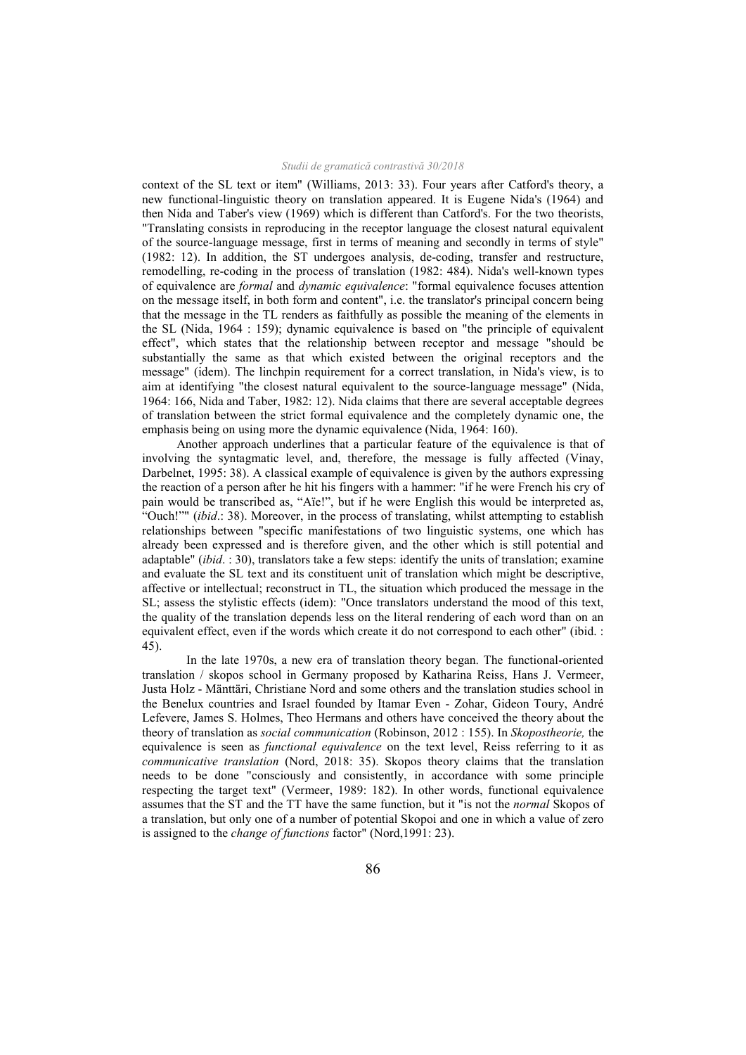context of the SL text or item" (Williams, 2013: 33). Four years after Catford's theory, a new functional-linguistic theory on translation appeared. It is Eugene Nida's (1964) and then Nida and Taber's view (1969) which is different than Catford's. For the two theorists, "Translating consists in reproducing in the receptor language the closest natural equivalent of the source-language message, first in terms of meaning and secondly in terms of style" (1982: 12). In addition, the ST undergoes analysis, de-coding, transfer and restructure, remodelling, re-coding in the process of translation (1982: 484). Nida's well-known types of equivalence are *formal* and *dynamic equivalence*: "formal equivalence focuses attention on the message itself, in both form and content", i.e. the translator's principal concern being that the message in the TL renders as faithfully as possible the meaning of the elements in the SL (Nida, 1964 : 159); dynamic equivalence is based on "the principle of equivalent effect", which states that the relationship between receptor and message "should be substantially the same as that which existed between the original receptors and the message" (idem). The linchpin requirement for a correct translation, in Nida's view, is to aim at identifying "the closest natural equivalent to the source-language message" (Nida, 1964: 166, Nida and Taber, 1982: 12). Nida claims that there are several acceptable degrees of translation between the strict formal equivalence and the completely dynamic one, the emphasis being on using more the dynamic equivalence (Nida, 1964: 160).

 Another approach underlines that a particular feature of the equivalence is that of involving the syntagmatic level, and, therefore, the message is fully affected (Vinay, Darbelnet, 1995: 38). A classical example of equivalence is given by the authors expressing the reaction of a person after he hit his fingers with a hammer: "if he were French his cry of pain would be transcribed as, "Aïe!", but if he were English this would be interpreted as, "Ouch!"" (*ibid*.: 38). Moreover, in the process of translating, whilst attempting to establish relationships between "specific manifestations of two linguistic systems, one which has already been expressed and is therefore given, and the other which is still potential and adaptable" (*ibid*. : 30), translators take a few steps: identify the units of translation; examine and evaluate the SL text and its constituent unit of translation which might be descriptive, affective or intellectual; reconstruct in TL, the situation which produced the message in the SL; assess the stylistic effects (idem): "Once translators understand the mood of this text, the quality of the translation depends less on the literal rendering of each word than on an equivalent effect, even if the words which create it do not correspond to each other" (ibid. : 45).

 In the late 1970s, a new era of translation theory began. The functional-oriented translation / skopos school in Germany proposed by Katharina Reiss, Hans J. Vermeer, Justa Holz - Mänttäri, Christiane Nord and some others and the translation studies school in the Benelux countries and Israel founded by Itamar Even - Zohar, Gideon Toury, André Lefevere, James S. Holmes, Theo Hermans and others have conceived the theory about the theory of translation as *social communication* (Robinson, 2012 : 155). In *Skopostheorie,* the equivalence is seen as *functional equivalence* on the text level, Reiss referring to it as *communicative translation* (Nord, 2018: 35). Skopos theory claims that the translation needs to be done "consciously and consistently, in accordance with some principle respecting the target text" (Vermeer, 1989: 182). In other words, functional equivalence assumes that the ST and the TT have the same function, but it "is not the *normal* Skopos of a translation, but only one of a number of potential Skopoi and one in which a value of zero is assigned to the *change of functions* factor" (Nord,1991: 23).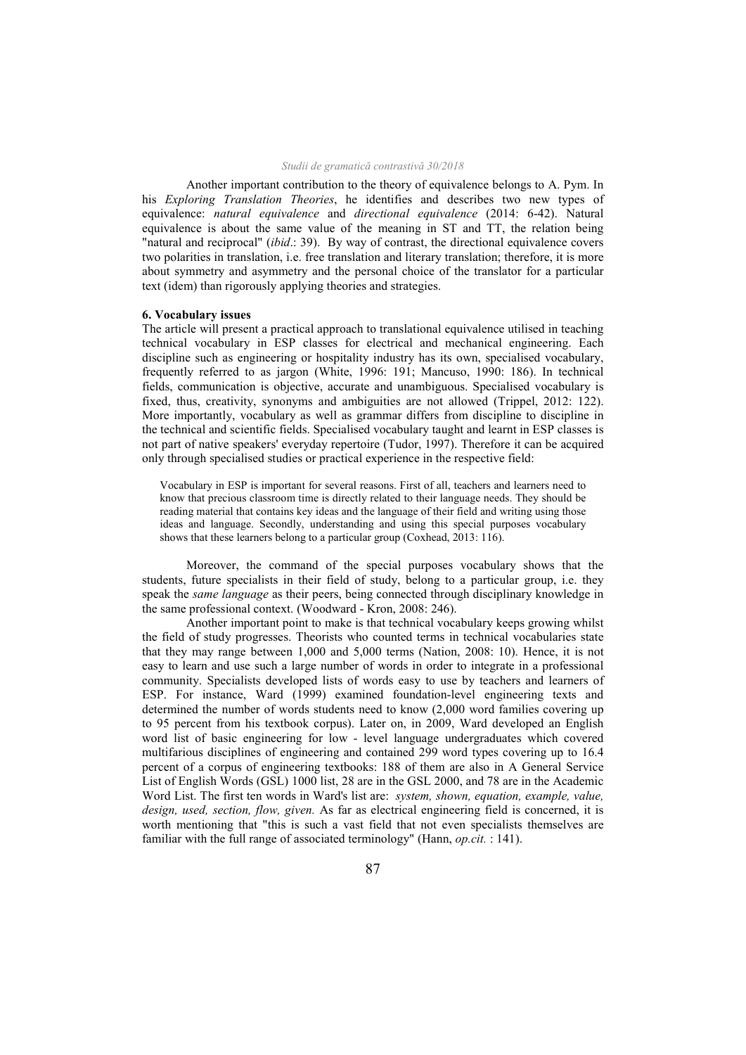Another important contribution to the theory of equivalence belongs to A. Pym. In his *Exploring Translation Theories*, he identifies and describes two new types of equivalence: *natural equivalence* and *directional equivalence* (2014: 6-42). Natural equivalence is about the same value of the meaning in ST and TT, the relation being "natural and reciprocal" (*ibid*.: 39). By way of contrast, the directional equivalence covers two polarities in translation, i.e. free translation and literary translation; therefore, it is more about symmetry and asymmetry and the personal choice of the translator for a particular text (idem) than rigorously applying theories and strategies.

#### **6. Vocabulary issues**

The article will present a practical approach to translational equivalence utilised in teaching technical vocabulary in ESP classes for electrical and mechanical engineering. Each discipline such as engineering or hospitality industry has its own, specialised vocabulary, frequently referred to as jargon (White, 1996: 191; Mancuso, 1990: 186). In technical fields, communication is objective, accurate and unambiguous. Specialised vocabulary is fixed, thus, creativity, synonyms and ambiguities are not allowed (Trippel, 2012: 122). More importantly, vocabulary as well as grammar differs from discipline to discipline in the technical and scientific fields. Specialised vocabulary taught and learnt in ESP classes is not part of native speakers' everyday repertoire (Tudor, 1997). Therefore it can be acquired only through specialised studies or practical experience in the respective field:

Vocabulary in ESP is important for several reasons. First of all, teachers and learners need to know that precious classroom time is directly related to their language needs. They should be reading material that contains key ideas and the language of their field and writing using those ideas and language. Secondly, understanding and using this special purposes vocabulary shows that these learners belong to a particular group (Coxhead, 2013: 116).

 Moreover, the command of the special purposes vocabulary shows that the students, future specialists in their field of study, belong to a particular group, i.e. they speak the *same language* as their peers, being connected through disciplinary knowledge in the same professional context. (Woodward - Kron, 2008: 246).

 Another important point to make is that technical vocabulary keeps growing whilst the field of study progresses. Theorists who counted terms in technical vocabularies state that they may range between 1,000 and 5,000 terms (Nation, 2008: 10). Hence, it is not easy to learn and use such a large number of words in order to integrate in a professional community. Specialists developed lists of words easy to use by teachers and learners of ESP. For instance, Ward (1999) examined foundation-level engineering texts and determined the number of words students need to know (2,000 word families covering up to 95 percent from his textbook corpus). Later on, in 2009, Ward developed an English word list of basic engineering for low - level language undergraduates which covered multifarious disciplines of engineering and contained 299 word types covering up to 16.4 percent of a corpus of engineering textbooks: 188 of them are also in A General Service List of English Words (GSL) 1000 list, 28 are in the GSL 2000, and 78 are in the Academic Word List. The first ten words in Ward's list are: *system, shown, equation, example, value, design, used, section, flow, given.* As far as electrical engineering field is concerned, it is worth mentioning that "this is such a vast field that not even specialists themselves are familiar with the full range of associated terminology" (Hann, *op.cit.* : 141).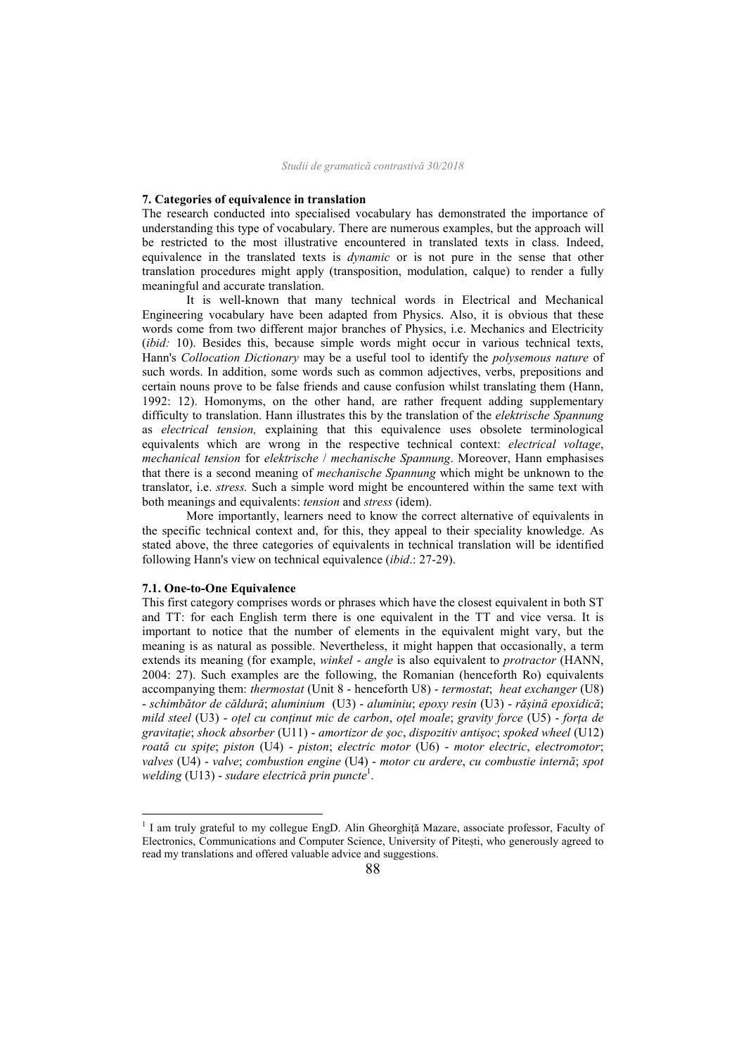#### **7. Categories of equivalence in translation**

The research conducted into specialised vocabulary has demonstrated the importance of understanding this type of vocabulary. There are numerous examples, but the approach will be restricted to the most illustrative encountered in translated texts in class. Indeed, equivalence in the translated texts is *dynamic* or is not pure in the sense that other translation procedures might apply (transposition, modulation, calque) to render a fully meaningful and accurate translation.

 It is well-known that many technical words in Electrical and Mechanical Engineering vocabulary have been adapted from Physics. Also, it is obvious that these words come from two different major branches of Physics, i.e. Mechanics and Electricity (*ibid:* 10). Besides this, because simple words might occur in various technical texts, Hann's *Collocation Dictionary* may be a useful tool to identify the *polysemous nature* of such words. In addition, some words such as common adjectives, verbs, prepositions and certain nouns prove to be false friends and cause confusion whilst translating them (Hann, 1992: 12). Homonyms, on the other hand, are rather frequent adding supplementary difficulty to translation. Hann illustrates this by the translation of the *elektrische Spannung*  as *electrical tension,* explaining that this equivalence uses obsolete terminological equivalents which are wrong in the respective technical context: *electrical voltage*, *mechanical tension* for *elektrische* / *mechanische Spannung*. Moreover, Hann emphasises that there is a second meaning of *mechanische Spannung* which might be unknown to the translator, i.e. *stress.* Such a simple word might be encountered within the same text with both meanings and equivalents: *tension* and *stress* (idem).

 More importantly, learners need to know the correct alternative of equivalents in the specific technical context and, for this, they appeal to their speciality knowledge. As stated above, the three categories of equivalents in technical translation will be identified following Hann's view on technical equivalence (*ibid*.: 27-29).

## **7.1. One-to-One Equivalence**

 $\overline{a}$ 

This first category comprises words or phrases which have the closest equivalent in both ST and TT: for each English term there is one equivalent in the TT and vice versa. It is important to notice that the number of elements in the equivalent might vary, but the meaning is as natural as possible. Nevertheless, it might happen that occasionally, a term extends its meaning (for example, *winkel* - *angle* is also equivalent to *protractor* (HANN, 2004: 27). Such examples are the following, the Romanian (henceforth Ro) equivalents accompanying them: *thermostat* (Unit 8 - henceforth U8) - *termostat*; *heat exchanger* (U8) - *schimbător de căldură*; *aluminium* (U3) - *aluminiu*; *epoxy resin* (U3) - *rășină epoxidică*; *mild steel* (U3) - *oțel cu conținut mic de carbon*, *oțel moale*; *gravity force* (U5) - *forța de gravitație*; *shock absorber* (U11) - *amortizor de șoc*, *dispozitiv antișoc*; *spoked wheel* (U12) *roată cu spițe*; *piston* (U4) - *piston*; *electric motor* (U6) - *motor electric*, *electromotor*; *valves* (U4) - *valve*; *combustion engine* (U4) - *motor cu ardere*, *cu combustie internă*; *spot welding* (U13) - *sudare electrică prin puncte*<sup>1</sup> .

<sup>&</sup>lt;sup>1</sup> I am truly grateful to my collegue EngD. Alin Gheorghiță Mazare, associate professor, Faculty of Electronics, Communications and Computer Science, University of Pitești, who generously agreed to read my translations and offered valuable advice and suggestions.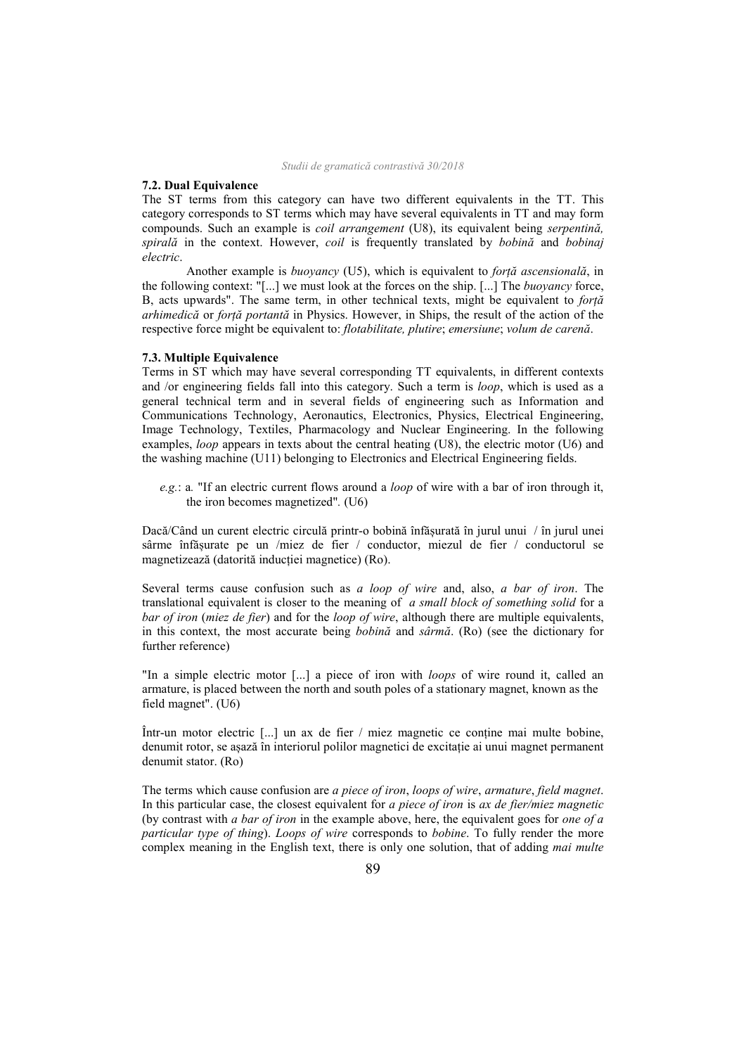## **7.2. Dual Equivalence**

The ST terms from this category can have two different equivalents in the TT. This category corresponds to ST terms which may have several equivalents in TT and may form compounds. Such an example is *coil arrangement* (U8), its equivalent being *serpentină, spirală* in the context. However, *coil* is frequently translated by *bobină* and *bobinaj electric*.

 Another example is *buoyancy* (U5), which is equivalent to *forță ascensională*, in the following context: "[...] we must look at the forces on the ship. [...] The *buoyancy* force, B, acts upwards". The same term, in other technical texts, might be equivalent to *forță arhimedică* or *forță portantă* in Physics. However, in Ships, the result of the action of the respective force might be equivalent to: *flotabilitate, plutire*; *emersiune*; *volum de carenă*.

#### **7.3. Multiple Equivalence**

Terms in ST which may have several corresponding TT equivalents, in different contexts and /or engineering fields fall into this category. Such a term is *loop*, which is used as a general technical term and in several fields of engineering such as Information and Communications Technology, Aeronautics, Electronics, Physics, Electrical Engineering, Image Technology, Textiles, Pharmacology and Nuclear Engineering. In the following examples, *loop* appears in texts about the central heating (U8), the electric motor (U6) and the washing machine (U11) belonging to Electronics and Electrical Engineering fields.

 *e.g.*: a*.* "If an electric current flows around a *loop* of wire with a bar of iron through it, the iron becomes magnetized"*.* (U6)

Dacă/Când un curent electric circulă printr-o bobină înfășurată în jurul unui / în jurul unei sârme înfășurate pe un /miez de fier / conductor, miezul de fier / conductorul se magnetizează (datorită inducției magnetice) (Ro).

Several terms cause confusion such as *a loop of wire* and, also, *a bar of iron*. The translational equivalent is closer to the meaning of *a small block of something solid* for a *bar of iron* (*miez de fier*) and for the *loop of wire*, although there are multiple equivalents, in this context, the most accurate being *bobină* and *sârmă*. (Ro) (see the dictionary for further reference)

"In a simple electric motor [...] a piece of iron with *loops* of wire round it, called an armature, is placed between the north and south poles of a stationary magnet, known as the field magnet". (U6)

Într-un motor electric [...] un ax de fier / miez magnetic ce conține mai multe bobine, denumit rotor, se așază în interiorul polilor magnetici de excitație ai unui magnet permanent denumit stator. (Ro)

The terms which cause confusion are *a piece of iron*, *loops of wire*, *armature*, *field magnet*. In this particular case, the closest equivalent for *a piece of iron* is *ax de fier/miez magnetic* (by contrast with *a bar of iron* in the example above, here, the equivalent goes for *one of a particular type of thing*). *Loops of wire* corresponds to *bobine*. To fully render the more complex meaning in the English text, there is only one solution, that of adding *mai multe*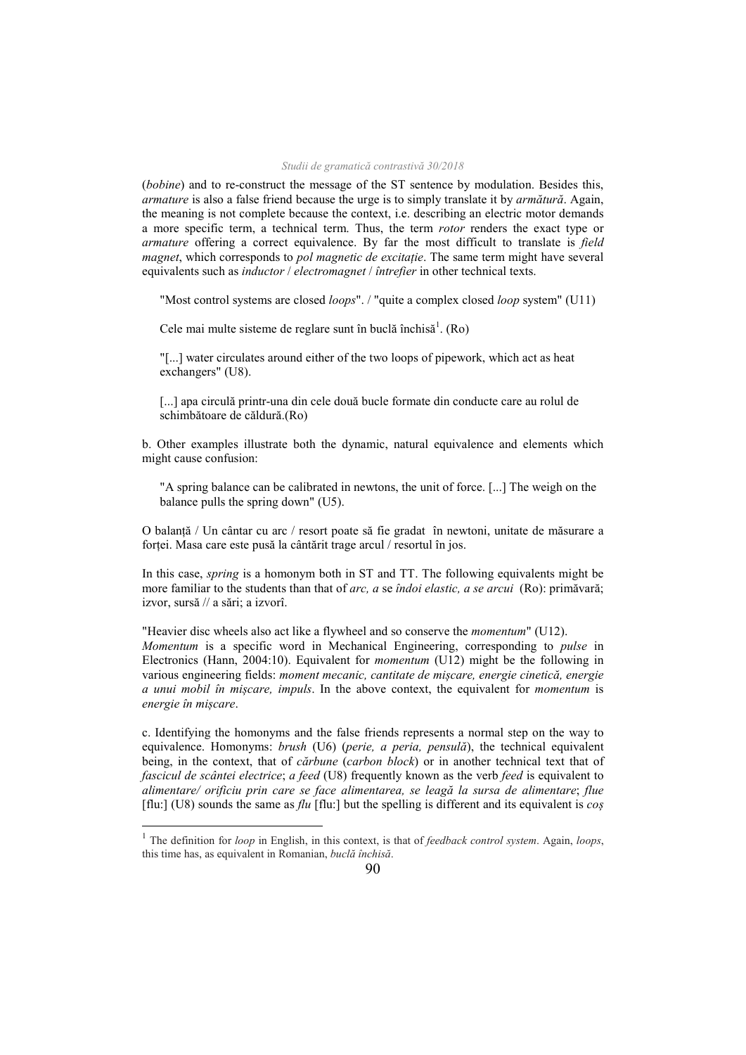(*bobine*) and to re-construct the message of the ST sentence by modulation. Besides this, *armature* is also a false friend because the urge is to simply translate it by *armătură*. Again, the meaning is not complete because the context, i.e. describing an electric motor demands a more specific term, a technical term. Thus, the term *rotor* renders the exact type or *armature* offering a correct equivalence. By far the most difficult to translate is *field magnet*, which corresponds to *pol magnetic de excitație*. The same term might have several equivalents such as *inductor* / *electromagnet* / *întrefier* in other technical texts.

"Most control systems are closed *loops*". / "quite a complex closed *loop* system" (U11)

Cele mai multe sisteme de reglare sunt în buclă închisă<sup>1</sup>. (Ro)

 "[...] water circulates around either of the two loops of pipework, which act as heat exchangers" (U8).

[...] apa circulă printr-una din cele două bucle formate din conducte care au rolul de schimbătoare de căldură.(Ro)

b. Other examples illustrate both the dynamic, natural equivalence and elements which might cause confusion:

 "A spring balance can be calibrated in newtons, the unit of force. [...] The weigh on the balance pulls the spring down" (U5).

O balanță / Un cântar cu arc / resort poate să fie gradat în newtoni, unitate de măsurare a forței. Masa care este pusă la cântărit trage arcul / resortul în jos.

In this case, *spring* is a homonym both in ST and TT. The following equivalents might be more familiar to the students than that of *arc, a* se *îndoi elastic, a se arcui* (Ro): primăvară; izvor, sursă // a sări; a izvorî.

"Heavier disc wheels also act like a flywheel and so conserve the *momentum*" (U12). *Momentum* is a specific word in Mechanical Engineering, corresponding to *pulse* in Electronics (Hann, 2004:10). Equivalent for *momentum* (U12) might be the following in various engineering fields: *moment mecanic, cantitate de mișcare, energie cinetică, energie a unui mobil în mișcare, impuls*. In the above context, the equivalent for *momentum* is *energie în mișcare*.

c. Identifying the homonyms and the false friends represents a normal step on the way to equivalence. Homonyms: *brush* (U6) (*perie, a peria, pensulă*), the technical equivalent being, in the context, that of *cărbune* (*carbon block*) or in another technical text that of *fascicul de scântei electrice*; *a feed* (U8) frequently known as the verb *feed* is equivalent to *alimentare/ orificiu prin care se face alimentarea, se leagă la sursa de alimentare*; *flue* [flu:] (U8) sounds the same as *flu* [flu:] but the spelling is different and its equivalent is *coș* 

 $\overline{a}$ 

<sup>1</sup> The definition for *loop* in English, in this context, is that of *feedback control system*. Again, *loops*, this time has, as equivalent in Romanian, *buclă închisă*.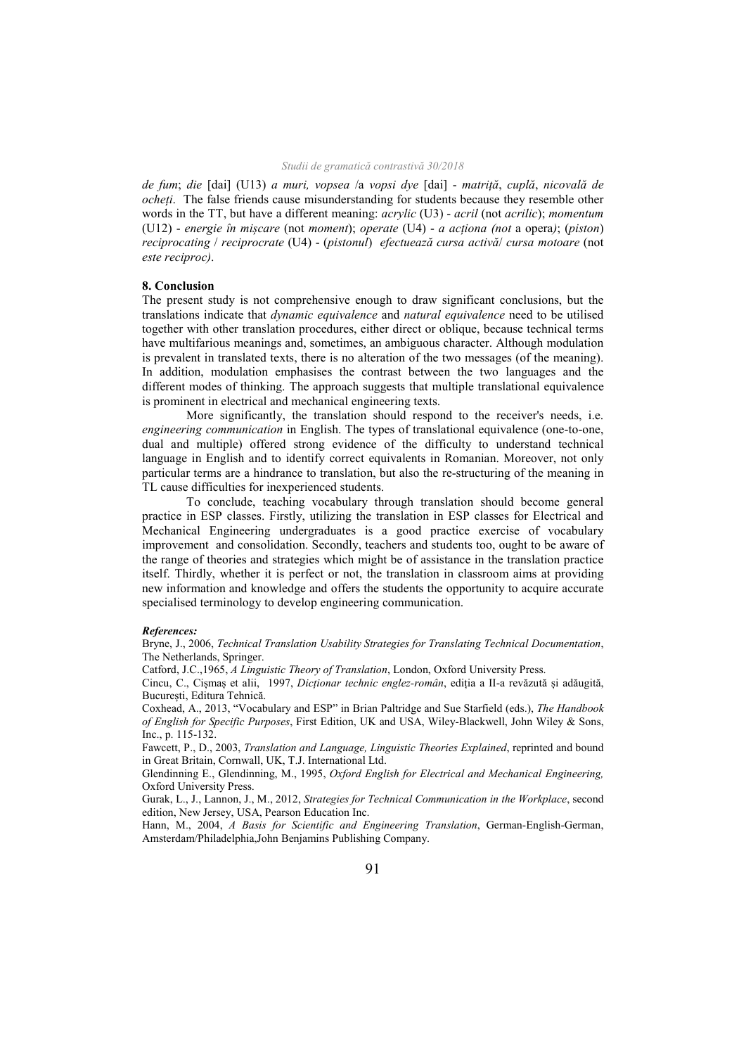*de fum*; *die* [dai] (U13) *a muri, vopsea* /a *vopsi dye* [dai] - *matriță*, *cuplă*, *nicovală de ocheți*. The false friends cause misunderstanding for students because they resemble other words in the TT, but have a different meaning: *acrylic* (U3) - *acril* (not *acrilic*); *momentum* (U12) - *energie în mișcare* (not *moment*); *operate* (U4) - *a acționa (not* a opera*)*; (*piston*) *reciprocating* / *reciprocrate* (U4) - (*pistonul*) *efectuează cursa activă*/ *cursa motoare* (not *este reciproc)*.

#### **8. Conclusion**

The present study is not comprehensive enough to draw significant conclusions, but the translations indicate that *dynamic equivalence* and *natural equivalence* need to be utilised together with other translation procedures, either direct or oblique, because technical terms have multifarious meanings and, sometimes, an ambiguous character. Although modulation is prevalent in translated texts, there is no alteration of the two messages (of the meaning). In addition, modulation emphasises the contrast between the two languages and the different modes of thinking. The approach suggests that multiple translational equivalence is prominent in electrical and mechanical engineering texts.

 More significantly, the translation should respond to the receiver's needs, i.e. *engineering communication* in English. The types of translational equivalence (one-to-one, dual and multiple) offered strong evidence of the difficulty to understand technical language in English and to identify correct equivalents in Romanian. Moreover, not only particular terms are a hindrance to translation, but also the re-structuring of the meaning in TL cause difficulties for inexperienced students.

 To conclude, teaching vocabulary through translation should become general practice in ESP classes. Firstly, utilizing the translation in ESP classes for Electrical and Mechanical Engineering undergraduates is a good practice exercise of vocabulary improvement and consolidation. Secondly, teachers and students too, ought to be aware of the range of theories and strategies which might be of assistance in the translation practice itself. Thirdly, whether it is perfect or not, the translation in classroom aims at providing new information and knowledge and offers the students the opportunity to acquire accurate specialised terminology to develop engineering communication.

#### *References:*

Bryne, J., 2006, *Technical Translation Usability Strategies for Translating Technical Documentation*, The Netherlands, Springer.

Catford, J.C.,1965, *A Linguistic Theory of Translation*, London, Oxford University Press.

Cincu, C., Cișmaș et alii, 1997, *Dicționar technic englez-român*, ediția a II-a revăzută și adăugită, București, Editura Tehnică.

Coxhead, A., 2013, "Vocabulary and ESP" in Brian Paltridge and Sue Starfield (eds.), *The Handbook of English for Specific Purposes*, First Edition, UK and USA, Wiley-Blackwell, John Wiley & Sons, Inc., p. 115-132.

Fawcett, P., D., 2003, *Translation and Language, Linguistic Theories Explained*, reprinted and bound in Great Britain, Cornwall, UK, T.J. International Ltd.

Glendinning E., Glendinning, M., 1995, *Oxford English for Electrical and Mechanical Engineering,*  Oxford University Press.

Gurak, L., J., Lannon, J., M., 2012, *Strategies for Technical Communication in the Workplace*, second edition, New Jersey, USA, Pearson Education Inc.

Hann, M., 2004, *A Basis for Scientific and Engineering Translation*, German-English-German, Amsterdam/Philadelphia,John Benjamins Publishing Company.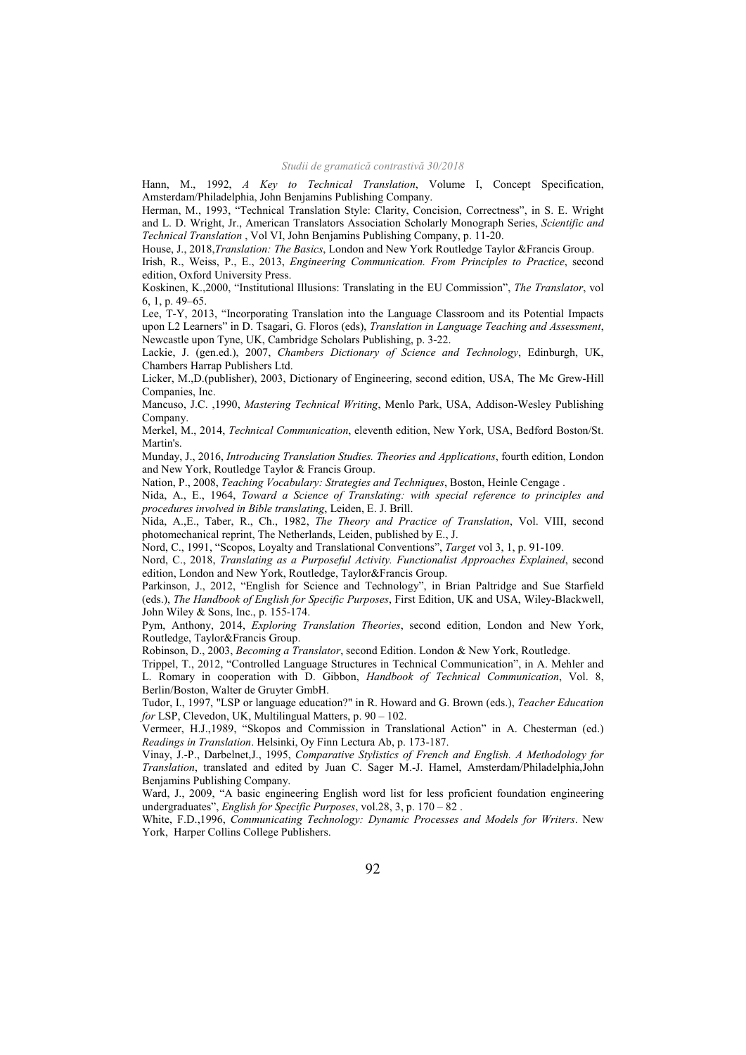Hann, M., 1992, *A Key to Technical Translation*, Volume I, Concept Specification, Amsterdam/Philadelphia, John Benjamins Publishing Company.

Herman, M., 1993, "Technical Translation Style: Clarity, Concision, Correctness", in S. E. Wright and L. D. Wright, Jr., American Translators Association Scholarly Monograph Series, *Scientific and Technical Translation* , Vol VI, John Benjamins Publishing Company, p. 11-20.

House, J., 2018,*Translation: The Basics*, London and New York Routledge Taylor &Francis Group.

Irish, R., Weiss, P., E., 2013, *Engineering Communication. From Principles to Practice*, second edition, Oxford University Press.

Koskinen, K.,2000, "Institutional Illusions: Translating in the EU Commission", *The Translator*, vol 6, 1, p. 49–65.

Lee, T-Y, 2013, "Incorporating Translation into the Language Classroom and its Potential Impacts upon L2 Learners" in D. Tsagari, G. Floros (eds), *Translation in Language Teaching and Assessment*, Newcastle upon Tyne, UK, Cambridge Scholars Publishing, p. 3-22.

Lackie, J. (gen.ed.), 2007, *Chambers Dictionary of Science and Technology*, Edinburgh, UK, Chambers Harrap Publishers Ltd.

Licker, M.,D.(publisher), 2003, Dictionary of Engineering, second edition, USA, The Mc Grew-Hill Companies, Inc.

Mancuso, J.C. ,1990, *Mastering Technical Writing*, Menlo Park, USA, Addison-Wesley Publishing Company.

Merkel, M., 2014, *Technical Communication*, eleventh edition, New York, USA, Bedford Boston/St. Martin's.

Munday, J., 2016, *Introducing Translation Studies. Theories and Applications*, fourth edition, London and New York, Routledge Taylor & Francis Group.

Nation, P., 2008, *Teaching Vocabulary: Strategies and Techniques*, Boston, Heinle Cengage .

Nida, A., E., 1964, *Toward a Science of Translating: with special reference to principles and procedures involved in Bible translating*, Leiden, E. J. Brill.

Nida, A.,E., Taber, R., Ch., 1982, *The Theory and Practice of Translation*, Vol. VIII, second photomechanical reprint, The Netherlands, Leiden, published by E., J.

Nord, C., 1991, "Scopos, Loyalty and Translational Conventions", *Target* vol 3, 1, p. 91-109.

Nord, C., 2018, *Translating as a Purposeful Activity. Functionalist Approaches Explained*, second edition, London and New York, Routledge, Taylor&Francis Group.

Parkinson, J., 2012, "English for Science and Technology", in Brian Paltridge and Sue Starfield (eds.), *The Handbook of English for Specific Purposes*, First Edition, UK and USA, Wiley-Blackwell, John Wiley & Sons, Inc., p. 155-174.

Pym, Anthony, 2014, *Exploring Translation Theories*, second edition, London and New York, Routledge, Taylor&Francis Group.

Robinson, D., 2003, *Becoming a Translator*, second Edition. London & New York, Routledge.

Trippel, T., 2012, "Controlled Language Structures in Technical Communication", in A. Mehler and L. Romary in cooperation with D. Gibbon, *Handbook of Technical Communication*, Vol. 8, Berlin/Boston, Walter de Gruyter GmbH.

Tudor, I., 1997, "LSP or language education?" in R. Howard and G. Brown (eds.), *Teacher Education for* LSP, Clevedon, UK, Multilingual Matters, p. 90 – 102.

Vermeer, H.J.,1989, "Skopos and Commission in Translational Action" in A. Chesterman (ed.) *Readings in Translation*. Helsinki, Oy Finn Lectura Ab, p. 173-187.

Vinay, J.-P., Darbelnet,J., 1995, *Comparative Stylistics of French and English. A Methodology for Translation*, translated and edited by Juan C. Sager M.-J. Hamel, Amsterdam/Philadelphia,John Benjamins Publishing Company.

Ward, J., 2009, "A basic engineering English word list for less proficient foundation engineering undergraduates", *English for Specific Purposes*, vol.28, 3, p. 170 – 82 .

White, F.D.,1996, *Communicating Technology: Dynamic Processes and Models for Writers*. New York, Harper Collins College Publishers.